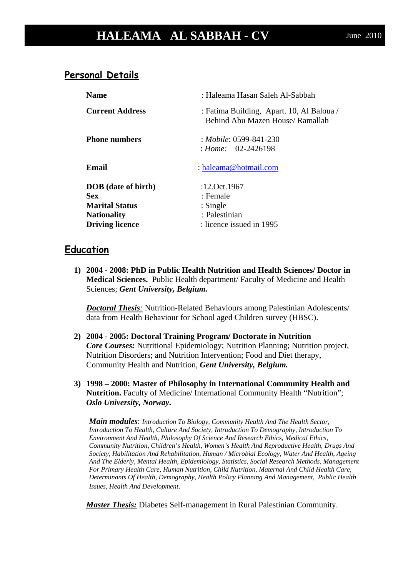# **HALEAMA AL SABBAH - CV** June 2010

#### **Personal Details**

| <b>Name</b>                                                                                                       | : Haleama Hasan Saleh Al-Sabbah                                                     |
|-------------------------------------------------------------------------------------------------------------------|-------------------------------------------------------------------------------------|
| <b>Current Address</b>                                                                                            | : Fatima Building, Apart. 10, Al Baloua /<br>Behind Abu Mazen House/ Ramallah       |
| <b>Phone numbers</b>                                                                                              | : Mobile: 0599-841-230<br>$\therefore$ Home: 02-2426198                             |
| Email                                                                                                             | : haleama@hotmail.com                                                               |
| <b>DOB</b> (date of birth)<br><b>Sex</b><br><b>Marital Status</b><br><b>Nationality</b><br><b>Driving licence</b> | :12.0ct.1967<br>: Female<br>$:$ Single<br>: Palestinian<br>: licence issued in 1995 |

#### **Education**

**1) 2004 - 2008: PhD in Public Health Nutrition and Health Sciences/ Doctor in Medical Sciences.** Public Health department/ Faculty of Medicine and Health Sciences; *Gent University, Belgium.* 

*Doctoral Thesis:* Nutrition-Related Behaviours among Palestinian Adolescents/ data from Health Behaviour for School aged Children survey (HBSC).

- **2) 2004 - 2005: Doctoral Training Program/ Doctorate in Nutrition** *Core Courses:* Nutritional Epidemiology; Nutrition Planning; Nutrition project, Nutrition Disorders; and Nutrition Intervention; Food and Diet therapy, Community Health and Nutrition, *Gent University, Belgium.*
- **3) 1998 – 2000: Master of Philosophy in International Community Health and Nutrition.** Faculty of Medicine/ International Community Health "Nutrition"; *Oslo University, Norway***.**

*Main modules*: *Introduction To Biology, Community Health And The Health Sector, Introduction To Health, Culture And Society, Introduction To Demography, Introduction To Environment And Health, Philosophy Of Science And Research Ethics, Medical Ethics, Community Nutrition, Children's Health, Women's Health And Reproductive Health, Drugs And Society, Habilitation And Rehabilitation, Human / Microbial Ecology, Water And Health, Ageing And The Elderly, Mental Health, Epidemiology, Statistics, Social Research Methods, Management For Primary Health Care, Human Nutrition, Child Nutrition, Maternal And Child Health Care, Determinants Of Health, Demography, Health Policy Planning And Management, Public Health Issues, Health And Development.*

*Master Thesis:* Diabetes Self-management in Rural Palestinian Community.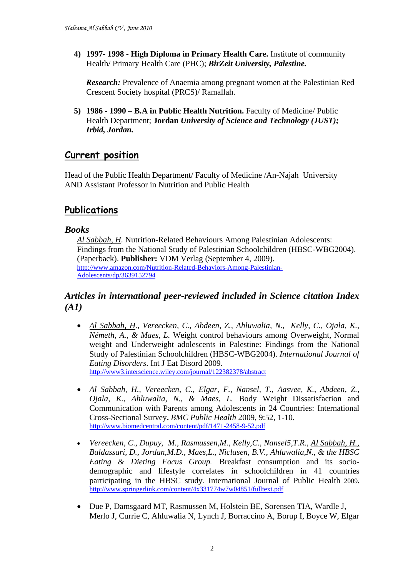**4) 1997- 1998 - High Diploma in Primary Health Care.** Institute of community Health/ Primary Health Care (PHC); *BirZeit University, Palestine.*

*Research:* Prevalence of Anaemia among pregnant women at the Palestinian Red Crescent Society hospital (PRCS)/ Ramallah.

**5) 1986 - 1990 – B.A in Public Health Nutrition.** Faculty of Medicine/ Public Health Department; **Jordan** *University of Science and Technology (JUST); Irbid, Jordan.*

### **Current position**

Head of the Public Health Department/ Faculty of Medicine /An-Najah University AND Assistant Professor in Nutrition and Public Health

### **Publications**

#### *Books*

*Al Sabbah, H.* Nutrition-Related Behaviours Among Palestinian Adolescents: Findings from the National Study of Palestinian Schoolchildren (HBSC-WBG2004). (Paperback). **Publisher:** VDM Verlag (September 4, 2009). [http://www.amazon.com/Nutrition-Related-Behaviors-Among-Palestinian-](http://www.amazon.com/Nutrition-Related-Behaviors-Among-Palestinian-Adolescents/dp/3639152794)[Adolescents/dp/3639152794](http://www.amazon.com/Nutrition-Related-Behaviors-Among-Palestinian-Adolescents/dp/3639152794)

#### *Articles in international peer-reviewed included in Science citation Index (A1)*

- *Al Sabbah, H., Vereecken, C., Abdeen, Z., Ahluwalia, N., Kelly, C., Ojala, K., Németh, A., & Maes, L.* Weight control behaviours among Overweight, Normal weight and Underweight adolescents in Palestine: Findings from the National Study of Palestinian Schoolchildren (HBSC-WBG2004). *International Journal of Eating Disorders*. Int J Eat Disord 2009. <http://www3.interscience.wiley.com/journal/122382378/abstract>
- *Al Sabbah, H., Vereecken, C., Elgar, F., Nansel, T., Aasvee, K., Abdeen, Z., Ojala, K., Ahluwalia, N., & Maes, L.* Body Weight Dissatisfaction and Communication with Parents among Adolescents in 24 Countries: International Cross-Sectional Survey**.** *BMC Public Health* 2009, 9:52, 1-10. <http://www.biomedcentral.com/content/pdf/1471-2458-9-52.pdf>
- *Vereecken, C., Dupuy, M., Rasmussen,M., Kelly,C., Nansel5,T.R., Al Sabbah, H., Baldassari, D., Jordan,M.D., Maes,L., Niclasen, B.V., Ahluwalia,N., & the HBSC Eating & Dieting Focus Group.* Breakfast consumption and its sociodemographic and lifestyle correlates in schoolchildren in 41 countries participating in the HBSC study. [International Journal of Public Health](http://www.springerlink.com/content/120521/?p=525bcb6da2354d4dac061ddd8f7f5e20&pi=0) 2009**.**  <http://www.springerlink.com/content/4x331774w7w04851/fulltext.pdf>
- Due P, Damsgaard MT, Rasmussen M, Holstein BE, Sorensen TIA, Wardle J, Merlo J, Currie C, Ahluwalia N, Lynch J, Borraccino A, Borup I, Boyce W, Elgar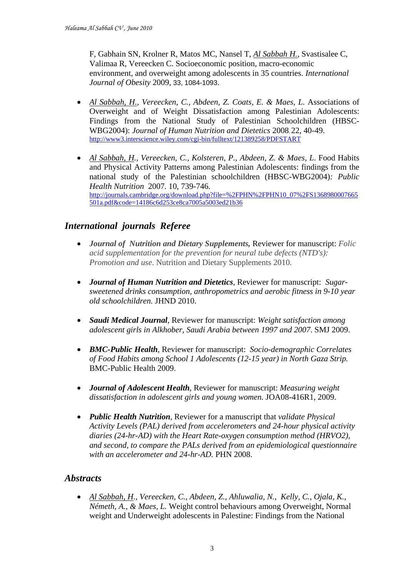F, Gabhain SN, Krolner R, Matos MC, Nansel T, *Al Sabbah H.*, Svastisalee C, Valimaa R, Vereecken C. Socioeconomic position, macro-economic environment, and overweight among adolescents in 35 countries. *International Journal of Obesity* 2009, 33, 1084-1093.

- *Al Sabbah, H., Vereecken, C., Abdeen, Z. Coats, E. & Maes, L*. Associations of Overweight and of Weight Dissatisfaction among Palestinian Adolescents: Findings from the National Study of Palestinian Schoolchildren (HBSC-WBG2004): *Journal of Human Nutrition and Dietetics* 2008, 22, 40-49. <http://www3.interscience.wiley.com/cgi-bin/fulltext/121389258/PDFSTART>
- *Al Sabbah, H., Vereecken, C., Kolsteren, P., Abdeen, Z. & Maes, L*. Food Habits and Physical Activity Patterns among Palestinian Adolescents: findings from the national study of the Palestinian schoolchildren (HBSC-WBG2004)*: Public Health Nutrition* 2007*.* 10, 739-746. [http://journals.cambridge.org/download.php?file=%2FPHN%2FPHN10\\_07%2FS1368980007665](http://journals.cambridge.org/download.php?file=%2FPHN%2FPHN10_07%2FS1368980007665501a.pdf&code=14186c6d253ce8ca7005a5003ed21b36) [501a.pdf&code=14186c6d253ce8ca7005a5003ed21b36](http://journals.cambridge.org/download.php?file=%2FPHN%2FPHN10_07%2FS1368980007665501a.pdf&code=14186c6d253ce8ca7005a5003ed21b36)

#### *International journals Referee*

- *Journal of Nutrition and Dietary Supplements,* Reviewer for manuscript: *Folic acid supplementation for the prevention for neural tube defects (NTD's): Promotion and use*. Nutrition and Dietary Supplements 2010.
- *Journal of Human Nutrition and Dietetics,* Reviewer for manuscript: *Sugarsweetened drinks consumption, anthropometrics and aerobic fitness in 9-10 year old schoolchildren.* JHND 2010.
- *Saudi Medical Journal*, Reviewer for manuscript: *Weight satisfaction among adolescent girls in Alkhober, Saudi Arabia between 1997 and 2007*. SMJ 2009.
- *BMC-Public Health*, Reviewer for manuscript: *Socio-demographic Correlates of Food Habits among School 1 Adolescents (12-15 year) in North Gaza Strip.*  BMC-Public Health 2009.
- *Journal of Adolescent Health*, Reviewer for manuscript: *Measuring weight dissatisfaction in adolescent girls and young women.* JOA08-416R1, 2009.
- *Public Health Nutrition*, Reviewer for a manuscript that *validate Physical Activity Levels (PAL) derived from accelerometers and 24-hour physical activity diaries (24-hr-AD) with the Heart Rate-oxygen consumption method (HRVO2), and second, to compare the PALs derived from an epidemiological questionnaire with an accelerometer and 24-hr-AD.* PHN 2008.

#### *Abstracts*

• *Al Sabbah, H., Vereecken, C., Abdeen, Z., Ahluwalia, N., Kelly, C., Ojala, K., Németh, A., & Maes, L.* Weight control behaviours among Overweight, Normal weight and Underweight adolescents in Palestine: Findings from the National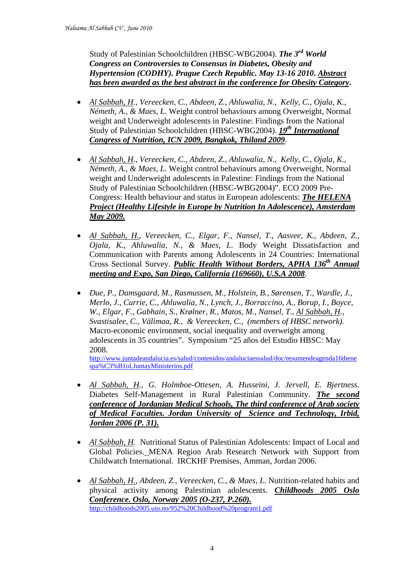Study of Palestinian Schoolchildren (HBSC-WBG2004). *The 3rd World Congress on Controversies to Consensus in Diabetes, Obesity and Hypertension (CODHY). Prague Czech Republic. May 13-16 2010***.** *Abstract has been awarded as the best abstract in the conference for Obesity Category***.**

- *Al Sabbah, H., Vereecken, C., Abdeen, Z., Ahluwalia, N., Kelly, C., Ojala, K., Németh, A., & Maes, L.* Weight control behaviours among Overweight, Normal weight and Underweight adolescents in Palestine: Findings from the National Study of Palestinian Schoolchildren (HBSC-WBG2004). *19th International Congress of Nutrition, ICN 2009, Bangkok, Thiland 2009*.
- *Al Sabbah, H., Vereecken, C., Abdeen, Z., Ahluwalia, N., Kelly, C., Ojala, K., Németh, A., & Maes, L.* Weight control behaviours among Overweight, Normal weight and Underweight adolescents in Palestine: Findings from the National Study of Palestinian Schoolchildren (HBSC-WBG2004)". ECO 2009 Pre-Congress: Health behaviour and status in European adolescents: *The HELENA Project (Healthy Lifestyle in Europe by Nutrition In Adolescence), Amsterdam May 2009.*
- *Al Sabbah, H., Vereecken, C., Elgar, F., Nansel, T., Aasvee, K., Abdeen, Z., Ojala, K., Ahluwalia, N., & Maes, L*. Body Weight Dissatisfaction and Communication with Parents among Adolescents in 24 Countries: International Cross Sectional Survey. *Public Health Without Borders, APHA 136th Annual meeting and Expo, San Diego, California (169660), U.S.A 2008*.
- *Due, P., Damsgaard, M., Rasmussen, M., Holstein, B., Sørensen, T., Wardle, J., Merlo, J., Currie, C., Ahluwalia, N., Lynch, J., Borraccino, A., Borup, I., Boyce, W., Elgar, F., Gabhain, S., Krølner, R., Matos, M., Nansel, T., Al Sabbah, H., Svastisalee, C., Välimaa, R., & Vereecken, C., (members of HBSC network).* Macro-economic environment, social inequality and overweight among adolescents in 35 countries". Symposium "25 años del Estudio HBSC: May 2008.

[http://www.juntadeandalucia.es/salud/contenidos/andaluciaessalud/doc/resumendeagenda16thene](http://www.juntadeandalucia.es/salud/contenidos/andaluciaessalud/doc/resumendeagenda16thenespa%C3%B1ol.JuntayMinisterios.pdf) [spa%C3%B1ol.JuntayMinisterios.pdf](http://www.juntadeandalucia.es/salud/contenidos/andaluciaessalud/doc/resumendeagenda16thenespa%C3%B1ol.JuntayMinisterios.pdf)

- *Al Sabbah, H., G. Holmboe-Ottesen, A. Husseini, J. Jervell, E. Bjertness*. Diabetes Self-Management in Rural Palestinian Community. *The second conference of Jordanian Medical Schools, The third conference of Arab society of Medical Faculties. Jordan University of Science and Technology, Irbid, Jordan 2006 (P. 31).*
- *Al Sabbah, H.* Nutritional Status of Palestinian Adolescents: Impact of Local and Global Policies. MENA Region Arab Research Network with Support from Childwatch International. IRCKHF Premises, Amman, Jordan 2006.
- *Al Sabbah, H., Abdeen, Z., Vereecken, C., & Maes, L.* Nutrition-related habits and physical activity among Palestinian adolescents. *Childhoods 2005 Oslo Conference. Oslo, Norway 2005 (O-237, P.260).*  <http://childhoods2005.uio.no/952%20Childhood%20program1.pdf>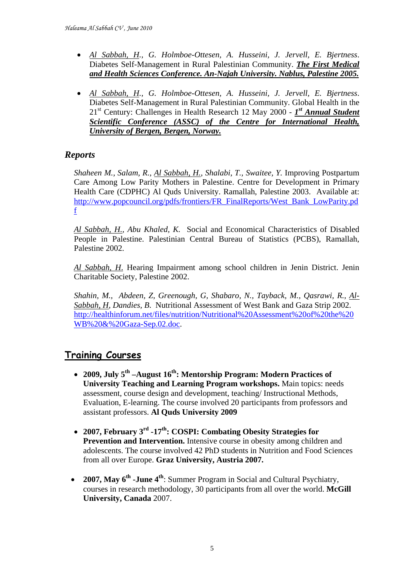- *Al Sabbah, H., G. Holmboe-Ottesen, A. Husseini, J. Jervell, E. Bjertness*. Diabetes Self-Management in Rural Palestinian Community. *The First Medical and Health Sciences Conference. An-Najah University. Nablus, Palestine 2005.*
- *Al Sabbah, H., G. Holmboe-Ottesen, A. Husseini, J. Jervell, E. Bjertness*. Diabetes Self-Management in Rural Palestinian Community. Global Health in the 21st Century: Challenges in Health Research 12 May 2000 - *1st Annual Student Scientific Conference (ASSC) of the Centre for International Health, University of Bergen, Bergen, Norway.*

### *Reports*

*Shaheen M., Salam, R., Al Sabbah, H., Shalabi, T., Swaitee, Y.* Improving Postpartum Care Among Low Parity Mothers in Palestine. Centre for Development in Primary Health Care (CDPHC) Al Quds University. Ramallah, Palestine 2003. Available at: [http://www.popcouncil.org/pdfs/frontiers/FR\\_FinalReports/West\\_Bank\\_LowParity.pd](http://www.popcouncil.org/pdfs/frontiers/FR_FinalReports/West_Bank_LowParity.pdf) [f](http://www.popcouncil.org/pdfs/frontiers/FR_FinalReports/West_Bank_LowParity.pdf)

*Al Sabbah, H., Abu Khaled, K.* Social and Economical Characteristics of Disabled People in Palestine. Palestinian Central Bureau of Statistics (PCBS), Ramallah, Palestine 2002.

*Al Sabbah, H*. Hearing Impairment among school children in Jenin District. Jenin Charitable Society, Palestine 2002.

*Shahin, M., Abdeen, Z, Greenough, G, Shabaro, N., Tayback, M., Qasrawi, R., Al-Sabbah, H, Dandies, B*. Nutritional Assessment of West Bank and Gaza Strip 2002. [http://healthinforum.net/files/nutrition/Nutritional%20Assessment%20of%20the%20](http://healthinforum.net/files/nutrition/Nutritional%20Assessment%20of%20the%20WB%20&%20Gaza-Sep.02.doc) [WB%20&%20Gaza-Sep.02.doc.](http://healthinforum.net/files/nutrition/Nutritional%20Assessment%20of%20the%20WB%20&%20Gaza-Sep.02.doc)

## **Training Courses**

- **2009, July 5th –August 16th: Mentorship Program: Modern Practices of University Teaching and Learning Program workshops.** Main topics: needs assessment, course design and development, teaching/ Instructional Methods, Evaluation, E-learning. The course involved 20 participants from professors and assistant professors. **Al Quds University 2009**
- **2007, February 3rd -17th: COSPI: Combating Obesity Strategies for Prevention and Intervention.** Intensive course in obesity among children and adolescents. The course involved 42 PhD students in Nutrition and Food Sciences from all over Europe. **Graz University, Austria 2007.**
- **2007, May 6th -June 4th**: Summer Program in Social and Cultural Psychiatry, courses in research methodology, 30 participants from all over the world. **McGill University, Canada** 2007.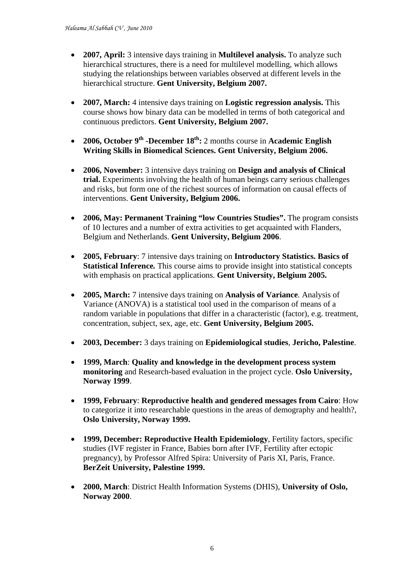- **2007, April:** 3 intensive days training in **Multilevel analysis.** To analyze such hierarchical structures, there is a need for multilevel modelling, which allows studying the relationships between variables observed at different levels in the hierarchical structure. **Gent University, Belgium 2007.**
- **2007, March:** 4 intensive days training on **Logistic regression analysis.** This course shows how binary data can be modelled in terms of both categorical and continuous predictors. **Gent University, Belgium 2007.**
- **2006, October 9<sup>th</sup> -December 18<sup>th</sup>:** 2 months course in **Academic English Writing Skills in Biomedical Sciences. Gent University, Belgium 2006.**
- **2006, November:** 3 intensive days training on **Design and analysis of Clinical trial.** Experiments involving the health of human beings carry serious challenges and risks, but form one of the richest sources of information on causal effects of interventions. **Gent University, Belgium 2006.**
- **2006, May: Permanent Training "low Countries Studies".** The program consists of 10 lectures and a number of extra activities to get acquainted with Flanders, Belgium and Netherlands. **Gent University, Belgium 2006**.
- **2005, February**: 7 intensive days training on **Introductory Statistics. Basics of Statistical Inference***.* This course aims to provide insight into statistical concepts with emphasis on practical applications. **Gent University, Belgium 2005.**
- **2005, March:** 7 intensive days training on **Analysis of Variance***.* Analysis of Variance (ANOVA) is a statistical tool used in the comparison of means of a random variable in populations that differ in a characteristic (factor), e.g. treatment, concentration, subject, sex, age, etc. **Gent University, Belgium 2005.**
- **2003, December:** 3 days training on **Epidemiological studies**, **Jericho, Palestine**.
- **1999, March**: **Quality and knowledge in the development process system monitoring** and Research-based evaluation in the project cycle. **Oslo University, Norway 1999**.
- **1999, February**: **Reproductive health and gendered messages from Cairo**: How to categorize it into researchable questions in the areas of demography and health?, **Oslo University, Norway 1999.**
- **1999, December: Reproductive Health Epidemiology**, Fertility factors, specific studies (IVF register in France, Babies born after IVF, Fertility after ectopic pregnancy), by Professor Alfred Spira: University of Paris XI, Paris, France. **BerZeit University, Palestine 1999.**
- **2000, March**: District Health Information Systems (DHIS), **University of Oslo, Norway 2000**.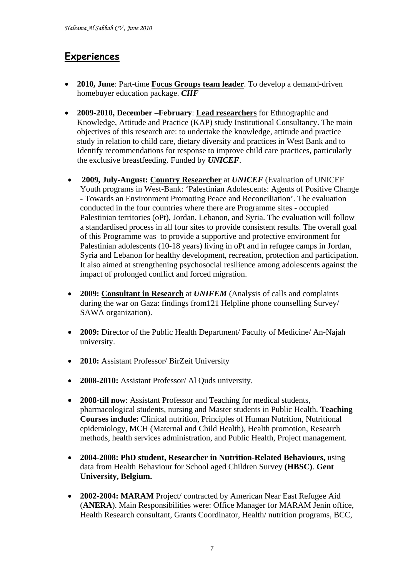## **Experiences**

- **2010, June**: Part-time **Focus Groups team leader**. To develop a demand-driven homebuyer education package. *CHF*
- **2009-2010, December –February**: **Lead researchers** for Ethnographic and Knowledge, Attitude and Practice (KAP) study Institutional Consultancy. The main objectives of this research are: to undertake the knowledge, attitude and practice study in relation to child care, dietary diversity and practices in West Bank and to Identify recommendations for response to improve child care practices, particularly the exclusive breastfeeding. Funded by *UNICEF*.
- **2009, July-August: Country Researcher** at *UNICEF* (Evaluation of UNICEF Youth programs in West-Bank: 'Palestinian Adolescents: Agents of Positive Change - Towards an Environment Promoting Peace and Reconciliation'. The evaluation conducted in the four countries where there are Programme sites - occupied Palestinian territories (oPt), Jordan, Lebanon, and Syria. The evaluation will follow a standardised process in all four sites to provide consistent results. The overall goal of this Programme was to provide a supportive and protective environment for Palestinian adolescents (10-18 years) living in oPt and in refugee camps in Jordan, Syria and Lebanon for healthy development, recreation, protection and participation. It also aimed at strengthening psychosocial resilience among adolescents against the impact of prolonged conflict and forced migration.
- **2009: Consultant in Research** at *UNIFEM* (Analysis of calls and complaints during the war on Gaza: findings from121 Helpline phone counselling Survey/ SAWA organization).
- **2009:** Director of the Public Health Department/ Faculty of Medicine/ An-Najah university.
- **2010:** Assistant Professor/ BirZeit University
- **2008-2010:** Assistant Professor/ Al Quds university.
- **2008-till now**: Assistant Professor and Teaching for medical students, pharmacological students, nursing and Master students in Public Health. **Teaching Courses include:** Clinical nutrition, Principles of Human Nutrition, Nutritional epidemiology, MCH (Maternal and Child Health), Health promotion, Research methods, health services administration, and Public Health, Project management.
- **2004-2008: PhD student, Researcher in Nutrition-Related Behaviours,** using data from Health Behaviour for School aged Children Survey **(HBSC)**. **Gent University, Belgium.**
- **2002-2004: MARAM** Project/ contracted by American Near East Refugee Aid (**ANERA**). Main Responsibilities were: Office Manager for MARAM Jenin office, Health Research consultant, Grants Coordinator, Health/ nutrition programs, BCC,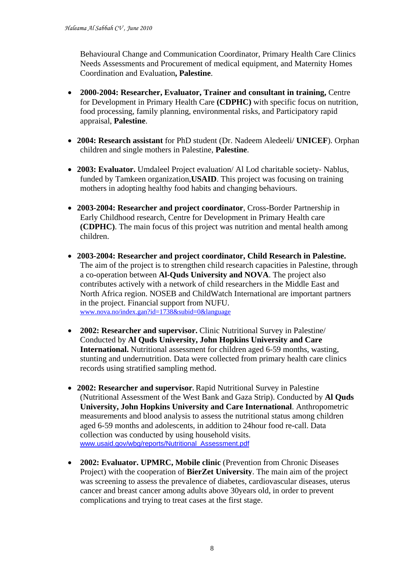Behavioural Change and Communication Coordinator, Primary Health Care Clinics Needs Assessments and Procurement of medical equipment, and Maternity Homes Coordination and Evaluation**, Palestine**.

- **2000-2004: Researcher, Evaluator, Trainer and consultant in training,** Centre for Development in Primary Health Care **(CDPHC)** with specific focus on nutrition, food processing, family planning, environmental risks, and Participatory rapid appraisal, **Palestine**.
- **2004: Research assistant** for PhD student (Dr. Nadeem Aledeeli/ **UNICEF**). Orphan children and single mothers in Palestine, **Palestine**.
- **2003: Evaluator.** Umdaleel Project evaluation/ Al Lod charitable society- Nablus, funded by Tamkeen organization,**USAID**. This project was focusing on training mothers in adopting healthy food habits and changing behaviours.
- **2003-2004: Researcher and project coordinator**, Cross-Border Partnership in Early Childhood research, Centre for Development in Primary Health care **(CDPHC)**. The main focus of this project was nutrition and mental health among children.
- **2003-2004: Researcher and project coordinator, Child Research in Palestine.**  The aim of the project is to strengthen child research capacities in Palestine, through a co-operation between **Al-Quds University and NOVA**. The project also contributes actively with a network of child researchers in the Middle East and North Africa region. NOSEB and ChildWatch International are important partners in the project. Financial support from NUFU. [www.nova.no/index.gan?id=1738&subid=0&language](http://www.nova.no/index.gan?id=1738&subid=0&language)
- **2002: Researcher and supervisor.** Clinic Nutritional Survey in Palestine/ Conducted by **Al Quds University, John Hopkins University and Care International.** Nutritional assessment for children aged 6-59 months, wasting, stunting and undernutrition. Data were collected from primary health care clinics records using stratified sampling method.
- **2002: Researcher and supervisor.** Rapid Nutritional Survey in Palestine (Nutritional Assessment of the West Bank and Gaza Strip). Conducted by **Al Quds University, John Hopkins University and Care International**. Anthropometric measurements and blood analysis to assess the nutritional status among children aged 6-59 months and adolescents, in addition to 24hour food re-call. Data collection was conducted by using household visits. [www.usaid.gov/wbg/reports/Nutritional\\_Assessment.pdf](http://www.usaid.gov/wbg/reports/Nutritional_Assessment.pdf)
- **2002: Evaluator. UPMRC, Mobile clinic** (Prevention from Chronic Diseases Project) with the cooperation of **BierZet University**. The main aim of the project was screening to assess the prevalence of diabetes, cardiovascular diseases, uterus cancer and breast cancer among adults above 30years old, in order to prevent complications and trying to treat cases at the first stage.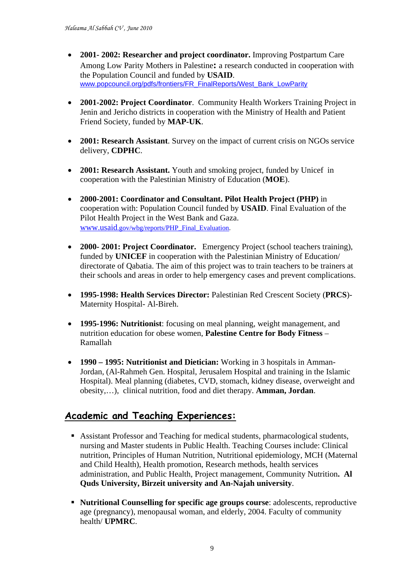- **2001- 2002: Researcher and project coordinator.** [Improving Postpartum Care](http://www.popcouncil.org/pdfs/frontiers/FR_FinalReports/West_Bank_LowParity.pdf)  [Among Low Parity Mothers in Palestine](http://www.popcouncil.org/pdfs/frontiers/FR_FinalReports/West_Bank_LowParity.pdf)**:** a research conducted in cooperation with the Population Council and funded by **USAID**. [www.popcouncil.org/pdfs/frontiers/FR\\_FinalReports/West\\_Bank\\_LowParity](http://www.popcouncil.org/pdfs/frontiers/FR_FinalReports/West_Bank_LowParity)
- **2001-2002: Project Coordinator**. Community Health Workers Training Project in Jenin and Jericho districts in cooperation with the Ministry of Health and Patient Friend Society, funded by **MAP-UK**.
- **2001: Research Assistant**. Survey on the impact of current crisis on NGOs service delivery, **CDPHC**.
- **2001: Research Assistant.** Youth and smoking project, funded by Unicef in cooperation with the Palestinian Ministry of Education (**MOE**).
- **2000-2001: Coordinator and Consultant. Pilot Health Project (PHP)** in cooperation with: Population Council funded by **USAID**. [Final Evaluation of the](http://www.usaid.gov/wbg/reports/PHP_Final_Evaluation.pdf)  [Pilot Health Project in the West Bank and Gaza.](http://www.usaid.gov/wbg/reports/PHP_Final_Evaluation.pdf) [www.usaid.gov/wbg/reports/PHP\\_Final\\_Evaluation.](http://www.usaid.gov/wbg/reports/PHP_Final_Evaluation)
- **2000- 2001: Project Coordinator.** Emergency Project (school teachers training), funded by **UNICEF** in cooperation with the Palestinian Ministry of Education/ directorate of Qabatia. The aim of this project was to train teachers to be trainers at their schools and areas in order to help emergency cases and prevent complications.
- **1995-1998: Health Services Director:** Palestinian Red Crescent Society (**PRCS**)- Maternity Hospital- Al-Bireh.
- **1995-1996: Nutritionist**: focusing on meal planning, weight management, and nutrition education for obese women, **Palestine Centre for Body Fitness** – Ramallah
- **1990 – 1995: Nutritionist and Dietician:** Working in 3 hospitals in Amman-Jordan, (Al-Rahmeh Gen. Hospital, Jerusalem Hospital and training in the Islamic Hospital). Meal planning (diabetes, CVD, stomach, kidney disease, overweight and obesity,…), clinical nutrition, food and diet therapy. **Amman, Jordan**.

### **Academic and Teaching Experiences:**

- Assistant Professor and Teaching for medical students, pharmacological students, nursing and Master students in Public Health. Teaching Courses include: Clinical nutrition, Principles of Human Nutrition, Nutritional epidemiology, MCH (Maternal and Child Health), Health promotion, Research methods, health services administration, and Public Health, Project management, Community Nutrition**. Al Quds University, Birzeit university and An-Najah university**.
- **Nutritional Counselling for specific age groups course**: adolescents, reproductive age (pregnancy), menopausal woman, and elderly, 2004. Faculty of community health/ **UPMRC**.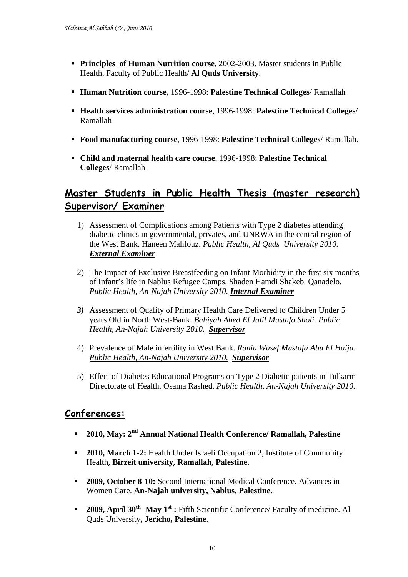- **Principles of Human Nutrition course**, 2002-2003. Master students in Public Health, Faculty of Public Health/ **Al Quds University**.
- **Human Nutrition course**, 1996-1998: **Palestine Technical Colleges**/ Ramallah
- **Health services administration course**, 1996-1998: **Palestine Technical Colleges**/ Ramallah
- **Food manufacturing course**, 1996-1998: **Palestine Technical Colleges**/ Ramallah.
- **Child and maternal health care course**, 1996-1998: **Palestine Technical Colleges**/ Ramallah

### **Master Students in Public Health Thesis (master research) Supervisor/ Examiner**

- 1) Assessment of Complications among Patients with Type 2 diabetes attending diabetic clinics in governmental, privates, and UNRWA in the central region of the West Bank. Haneen Mahfouz. *Public Health, Al Quds University 2010. External Examiner*
- 2) The Impact of Exclusive Breastfeeding on Infant Morbidity in the first six months of Infant's life in Nablus Refugee Camps. Shaden Hamdi Shakeb Qanadelo. *Public Health, An-Najah University 2010. Internal Examiner*
- *3)* Assessment of Quality of Primary Health Care Delivered to Children Under 5 years Old in North West-Bank. *Bahiyah Abed El Jalil Mustafa Sholi. Public Health, An-Najah University 2010. Supervisor*
- 4) Prevalence of Male infertility in West Bank. *Rania Wasef Mustafa Abu El Haija*. *Public Health, An-Najah University 2010. Supervisor*
- 5) Effect of Diabetes Educational Programs on Type 2 Diabetic patients in Tulkarm Directorate of Health. Osama Rashed. *Public Health, An-Najah University 2010.*

#### **Conferences:**

- **2010, May: 2nd Annual National Health Conference/ Ramallah, Palestine**
- **2010, March 1-2:** Health Under Israeli Occupation 2, Institute of Community Health**, Birzeit university, Ramallah, Palestine.**
- **2009, October 8-10:** Second International Medical Conference. Advances in Women Care. **An-Najah university, Nablus, Palestine.**
- **2009, April 30<sup>th</sup> -May 1<sup>st</sup> :** Fifth Scientific Conference/ Faculty of medicine. Al Quds University, **Jericho, Palestine**.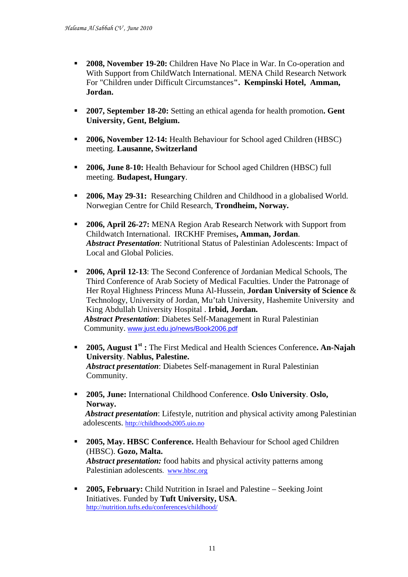- **2008, November 19-20:** Children Have No Place in War. In Co-operation and With Support from ChildWatch International. MENA Child Research Network For "Children under Difficult Circumstances**". Kempinski Hotel, Amman, Jordan.**
- **2007, September 18-20:** Setting an ethical agenda for health promotion**. Gent University, Gent, Belgium.**
- **2006, November 12-14:** Health Behaviour for School aged Children (HBSC) meeting. **Lausanne, Switzerland**
- **2006, June 8-10:** Health Behaviour for School aged Children (HBSC) full meeting. **Budapest, Hungary**.
- **2006, May 29-31:** Researching Children and Childhood in a globalised World. Norwegian Centre for Child Research, **Trondheim, Norway.**
- **2006, April 26-27:** MENA Region Arab Research Network with Support from Childwatch International. IRCKHF Premises**, Amman, Jordan**. *Abstract Presentation*: Nutritional Status of Palestinian Adolescents: Impact of Local and Global Policies.
- **2006, April 12-13**: [The Second Conference of Jordanian Medical Schools,](http://www.just.edu.jo/news/conferences/CallforAbstracts.doc) The Third Conference of Arab Society of Medical Faculties. Under the Patronage of Her Royal Highness Princess Muna Al-Hussein, **Jordan University of Science** & Technology, University of Jordan, Mu'tah University, Hashemite University and King Abdullah University Hospital . **Irbid, Jordan.** *Abstract Presentation*: Diabetes Self-Management in Rural Palestinian Community. [www.just.edu.jo/news/Book2006.pdf](http://www.just.edu.jo/news/Book2006.pdf)
- **2005, August 1st :** The First Medical and Health Sciences Conference**. An-Najah University**. **Nablus, Palestine.** *Abstract presentation*: Diabetes Self-management in Rural Palestinian Community.
- **2005, June:** International Childhood Conference. **Oslo University**. **Oslo, Norway.**

*Abstract presentation*: Lifestyle, nutrition and physical activity among Palestinian adolescents. [http://childhoods2005.uio.no](http://childhoods2005.uio.no/)

- **2005, May. HBSC Conference.** Health Behaviour for School aged Children (HBSC). **Gozo, Malta.**   *Abstract presentation:* food habits and physical activity patterns among Palestinian adolescents. [www.hbsc.org](http://www.hbsc.org/)
- **2005, February:** Child Nutrition in Israel and Palestine Seeking Joint Initiatives. Funded by **Tuft University, USA**. <http://nutrition.tufts.edu/conferences/childhood/>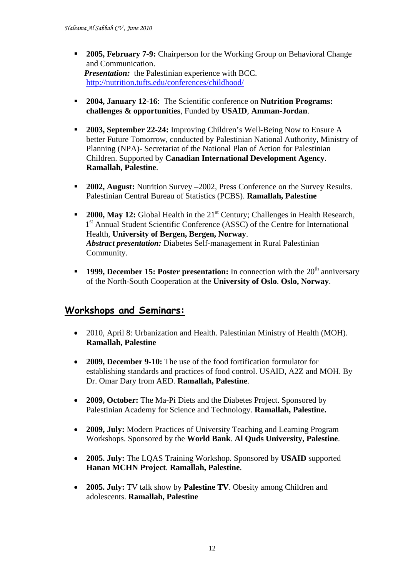- **2005, February 7-9:** Chairperson for the Working Group on Behavioral Change and Communication. *Presentation:* the Palestinian experience with BCC. <http://nutrition.tufts.edu/conferences/childhood/>
- **2004, January 12-16**: The Scientific conference on **Nutrition Programs: challenges & opportunities**, Funded by **USAID**, **Amman-Jordan**.
- **2003, September 22-24:** Improving Children's Well-Being Now to Ensure A better Future Tomorrow, conducted by Palestinian National Authority, Ministry of Planning (NPA)- Secretariat of the National Plan of Action for Palestinian Children. Supported by **Canadian International Development Agency**. **Ramallah, Palestine**.
- **2002, August:** Nutrition Survey –2002, Press Conference on the Survey Results. Palestinian Central Bureau of Statistics (PCBS). **Ramallah, Palestine**
- **2000, May 12:** Global Health in the 21<sup>st</sup> Century; Challenges in Health Research, 1<sup>st</sup> Annual Student Scientific Conference (ASSC) of the Centre for International Health, **University of Bergen, Bergen, Norway**. *Abstract presentation:* Diabetes Self-management in Rural Palestinian Community.
- **1999, December 15: Poster presentation:** In connection with the 20<sup>th</sup> anniversary of the North-South Cooperation at the **University of Oslo**. **Oslo, Norway**.

## **Workshops and Seminars:**

- 2010, April 8: Urbanization and Health. Palestinian Ministry of Health (MOH). **Ramallah, Palestine**
- **2009, December 9-10:** The use of the food fortification formulator for establishing standards and practices of food control. USAID, A2Z and MOH. By Dr. Omar Dary from AED. **Ramallah, Palestine**.
- **2009, October:** The Ma-Pi Diets and the Diabetes Project. Sponsored by Palestinian Academy for Science and Technology. **Ramallah, Palestine.**
- **2009, July:** Modern Practices of University Teaching and Learning Program Workshops. Sponsored by the **World Bank**. **Al Quds University, Palestine**.
- **2005. July:** The LQAS Training Workshop. Sponsored by **USAID** supported **Hanan MCHN Project**. **Ramallah, Palestine**.
- **2005. July:** TV talk show by **Palestine TV**. Obesity among Children and adolescents. **Ramallah, Palestine**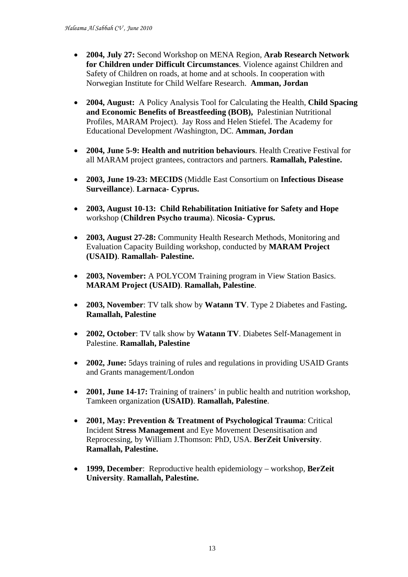- **2004, July 27:** Second Workshop on MENA Region, **Arab Research Network for Children under Difficult Circumstances**. Violence against Children and Safety of Children on roads, at home and at schools. In cooperation with Norwegian Institute for Child Welfare Research. **Amman, Jordan**
- **2004, August:** A Policy Analysis Tool for Calculating the Health, **Child Spacing and Economic Benefits of Breastfeeding (BOB),** Palestinian Nutritional Profiles, MARAM Project). Jay Ross and Helen Stiefel. The Academy for Educational Development /Washington, DC. **Amman, Jordan**
- **2004, June 5-9: Health and nutrition behaviours**. Health Creative Festival for all MARAM project grantees, contractors and partners. **Ramallah, Palestine.**
- **2003, June 19-23: MECIDS** (Middle East Consortium on **Infectious Disease Surveillance**). **Larnaca- Cyprus.**
- **2003, August 10-13: Child Rehabilitation Initiative for Safety and Hope** workshop (**Children Psycho trauma**). **Nicosia- Cyprus.**
- **2003, August 27-28:** Community Health Research Methods, Monitoring and Evaluation Capacity Building workshop, conducted by **MARAM Project (USAID)**. **Ramallah- Palestine.**
- **2003, November:** A POLYCOM Training program in View Station Basics. **MARAM Project (USAID)**. **Ramallah, Palestine**.
- **2003, November**: TV talk show by **Watann TV**. Type 2 Diabetes and Fasting**. Ramallah, Palestine**
- **2002, October**: TV talk show by **Watann TV**. Diabetes Self-Management in Palestine. **Ramallah, Palestine**
- **2002, June:** 5days training of rules and regulations in providing USAID Grants and Grants management/London
- **2001, June 14-17:** Training of trainers' in public health and nutrition workshop, Tamkeen organization **(USAID)**. **Ramallah, Palestine**.
- **2001, May: Prevention & Treatment of Psychological Trauma**: Critical Incident **Stress Management** and Eye Movement Desensitisation and Reprocessing, by William J.Thomson: PhD, USA. **BerZeit University**. **Ramallah, Palestine.**
- **1999, December**: Reproductive health epidemiology workshop, **BerZeit University**. **Ramallah, Palestine.**